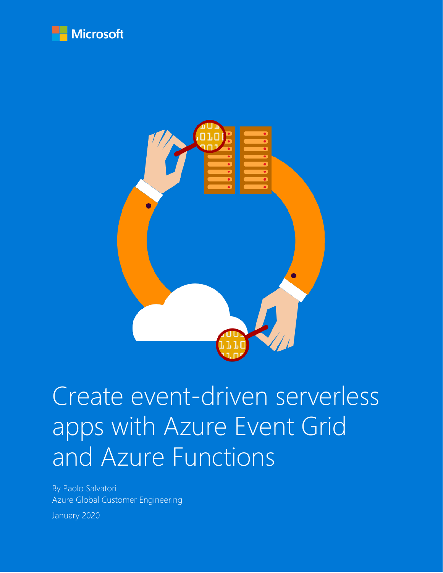



# Create event-driven serverless apps with Azure Event Grid and Azure Functions

By Paolo Salvatori Azure Global Customer Engineering January 2020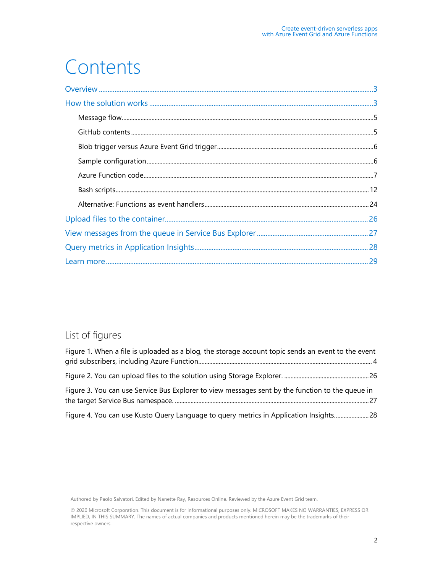## Contents

#### List of figures

| Figure 1. When a file is uploaded as a blog, the storage account topic sends an event to the event |  |
|----------------------------------------------------------------------------------------------------|--|
|                                                                                                    |  |
|                                                                                                    |  |
| Figure 3. You can use Service Bus Explorer to view messages sent by the function to the queue in   |  |
|                                                                                                    |  |
| Figure 4. You can use Kusto Query Language to query metrics in Application Insights 28             |  |

Authored by Paolo Salvatori. Edited by Nanette Ray, Resources Online. Reviewed by the Azure Event Grid team.

© 2020 Microsoft Corporation. This document is for informational purposes only. MICROSOFT MAKES NO WARRANTIES, EXPRESS OR IMPLIED, IN THIS SUMMARY. The names of actual companies and products mentioned herein may be the trademarks of their respective owners.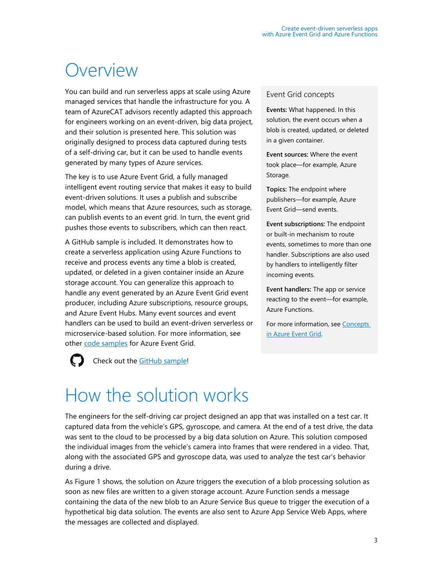### <span id="page-2-0"></span>Overview

You can build and run serverless apps at scale using Azure managed services that handle the infrastructure for you. A team of AzureCAT advisors recently adapted this approach for engineers working on an event-driven, big data project, and their solution is presented here. This solution was originally designed to process data captured during tests of a self-driving car, but it can be used to handle events generated by many types of Azure services.

The key is to use Azure Event Grid, a fully managed intelligent event routing service that makes it easy to build event-driven solutions. It uses a publish and subscribe model, which means that Azure resources, such as storage, can publish events to an event grid. In turn, the event grid pushes those events to subscribers, which can then react.

A GitHub sample is included. It demonstrates how to create a serverless application using Azure Functions to receive and process events any time a blob is created, updated, or deleted in a given container inside an Azure storage account. You can generalize this approach to handle any event generated by an Azure Event Grid event producer, including Azure subscriptions, resource groups, and Azure Event Hubs. Many event sources and event handlers can be used to build an event-driven serverless or microservice-based solution. For more information, see other [code samples](https://azure.microsoft.com/resources/samples/?sort=0&service=event-grid) for Azure Event Grid.



#### Check out the **GitHub sample!**

<span id="page-2-1"></span>How the solution works

#### Event Grid concepts

**Events:** What happened. In this solution, the event occurs when a blob is created, updated, or deleted in a given container.

**Event sources:** Where the event took place—for example, Azure Storage.

**Topics:** The endpoint where publishers—for example, Azure Event Grid—send events.

**Event subscriptions:** The endpoint or built-in mechanism to route events, sometimes to more than one handler. Subscriptions are also used by handlers to intelligently filter incoming events.

**Event handlers:** The app or service reacting to the event—for example, Azure Functions.

For more information, see [Concepts](https://docs.microsoft.com/en-us/azure/event-grid/concepts)  [in Azure Event Grid.](https://docs.microsoft.com/en-us/azure/event-grid/concepts)

#### The engineers for the self-driving car project designed an app that was installed on a test car. It captured data from the vehicle's GPS, gyroscope, and camera. At the end of a test drive, the data was sent to the cloud to be processed by a big data solution on Azure. This solution composed the individual images from the vehicle's camera into frames that were rendered in a video. That, along with the associated GPS and gyroscope data, was used to analyze the test car's behavior during a drive.

As Figure 1 shows, the solution on Azure triggers the execution of a blob processing solution as soon as new files are written to a given storage account. Azure Function sends a message containing the data of the new blob to an Azure Service Bus queue to trigger the execution of a hypothetical big data solution. The events are also sent to Azure App Service Web Apps, where the messages are collected and displayed.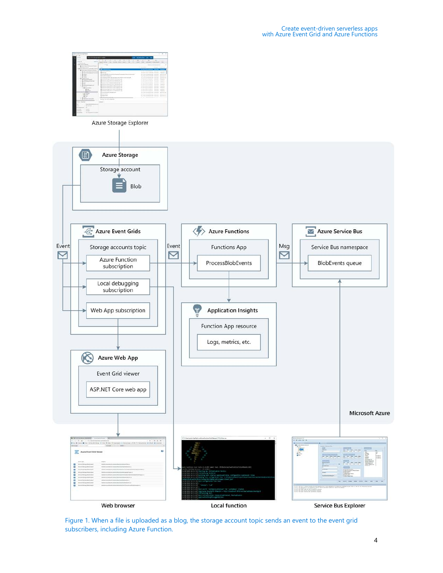

<span id="page-3-0"></span>Figure 1. When a file is uploaded as a blog, the storage account topic sends an event to the event grid subscribers, including Azure Function.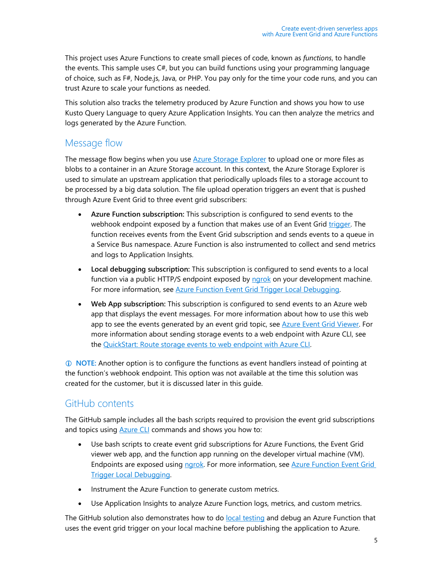This project uses Azure Functions to create small pieces of code, known as *functions*, to handle the events. This sample uses C#, but you can build functions using your programming language of choice, such as F#, Node.js, Java, or PHP. You pay only for the time your code runs, and you can trust Azure to scale your functions as needed.

This solution also tracks the telemetry produced by Azure Function and shows you how to use Kusto Query Language to query Azure Application Insights. You can then analyze the metrics and logs generated by the Azure Function.

#### <span id="page-4-0"></span>Message flow

The message flow begins when you use **Azure Storage Explorer** to upload one or more files as blobs to a container in an Azure Storage account. In this context, the Azure Storage Explorer is used to simulate an upstream application that periodically uploads files to a storage account to be processed by a big data solution. The file upload operation triggers an event that is pushed through Azure Event Grid to three event grid subscribers:

- **Azure Function subscription:** This subscription is configured to send events to the webhook endpoint exposed by a function that makes use of an Event Grid [trigger.](https://docs.microsoft.com/en-us/azure/azure-functions/functions-bindings-event-grid) The function receives events from the Event Grid subscription and sends events to a queue in a Service Bus namespace. Azure Function is also instrumented to collect and send metrics and logs to Application Insights.
- **Local debugging subscription:** This subscription is configured to send events to a local function via a public HTTP/S endpoint exposed by [ngrok](https://ngrok.com/) on your development machine. For more information, see [Azure Function Event Grid Trigger Local Debugging.](https://docs.microsoft.com/en-us/azure/azure-functions/functions-debug-event-grid-trigger-local)
- **Web App subscription:** This subscription is configured to send events to an Azure web app that displays the event messages. For more information about how to use this web app to see the events generated by an event grid topic, see [Azure Event Grid Viewer.](https://github.com/Azure-Samples/azure-event-grid-viewer) For more information about sending storage events to a web endpoint with Azure CLI, see the [QuickStart: Route storage events to web endpoint with Azure CLI.](https://docs.microsoft.com/en-us/azure/storage/blobs/storage-blob-event-quickstart)

 **NOTE:** Another option is to configure the functions as event handlers instead of pointing at the function's webhook endpoint. This option was not available at the time this solution was created for the customer, but it is discussed later in this guide.

#### <span id="page-4-1"></span>GitHub contents

The GitHub sample includes all the bash scripts required to provision the event grid subscriptions and topics using **Azure CLI** commands and shows you how to:

- Use bash scripts to create event grid subscriptions for Azure Functions, the Event Grid viewer web app, and the function app running on the developer virtual machine (VM). Endpoints are exposed using [ngrok.](https://ngrok.com/) For more information, see Azure Function Event Grid [Trigger Local Debugging.](https://docs.microsoft.com/en-us/azure/azure-functions/functions-debug-event-grid-trigger-local)
- Instrument the Azure Function to generate custom metrics.
- Use Application Insights to analyze Azure Function logs, metrics, and custom metrics.

The GitHub solution also demonstrates how to do [local testing](https://docs.microsoft.com/en-us/azure/azure-functions/functions-bindings-event-grid#local-testing-with-viewer-web-app) and debug an Azure Function that uses the event grid trigger on your local machine before publishing the application to Azure.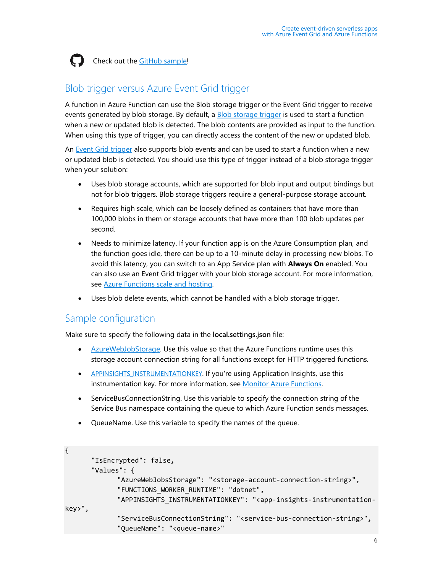

Check out the [GitHub sample!](https://github.com/paolosalvatori/blob-event-grid-function-app)

#### <span id="page-5-0"></span>Blob trigger versus Azure Event Grid trigger

A function in Azure Function can use the Blob storage trigger or the Event Grid trigger to receive events generated by blob storage. By default, a [Blob storage trigger](https://docs.microsoft.com/en-us/azure/azure-functions/functions-bindings-storage-blob#trigger) is used to start a function when a new or updated blob is detected. The blob contents are provided as input to the function. When using this type of trigger, you can directly access the content of the new or updated blob.

An [Event Grid trigger](https://docs.microsoft.com/en-us/azure/azure-functions/functions-bindings-event-grid) also supports blob events and can be used to start a function when a new or updated blob is detected. You should use this type of trigger instead of a blob storage trigger when your solution:

- Uses blob storage accounts, which are supported for blob input and output bindings but not for blob triggers. Blob storage triggers require a general-purpose storage account.
- Requires high scale, which can be loosely defined as containers that have more than 100,000 blobs in them or storage accounts that have more than 100 blob updates per second.
- Needs to minimize latency. If your function app is on the Azure Consumption plan, and the function goes idle, there can be up to a 10-minute delay in processing new blobs. To avoid this latency, you can switch to an App Service plan with **Always On** enabled. You can also use an Event Grid trigger with your blob storage account. For more information, see [Azure Functions scale and hosting.](https://docs.microsoft.com/en-us/azure/azure-functions/functions-scale)
- Uses blob delete events, which cannot be handled with a blob storage trigger.

#### <span id="page-5-1"></span>Sample configuration

Make sure to specify the following data in the **local.settings.json** file:

- [AzureWebJobStorage.](https://docs.microsoft.com/en-us/azure/azure-functions/functions-app-settings#azurewebjobsstorage) Use this value so that the Azure Functions runtime uses this storage account connection string for all functions except for HTTP triggered functions.
- [APPINSIGHTS\\_INSTRUMENTATIONKEY.](https://docs.microsoft.com/en-us/azure/azure-functions/functions-app-settings#appinsights_instrumentationkey) If you're using Application Insights, use this instrumentation key. For more information, see [Monitor Azure Functions.](https://docs.microsoft.com/en-us/azure/azure-functions/functions-monitoring)
- ServiceBusConnectionString. Use this variable to specify the connection string of the Service Bus namespace containing the queue to which Azure Function sends messages.
- QueueName. Use this variable to specify the names of the queue.

```
{
      "IsEncrypted": false,
      "Values": {
             "AzureWebJobsStorage": "<storage-account-connection-string>",
             "FUNCTIONS_WORKER_RUNTIME": "dotnet",
             "APPINSIGHTS_INSTRUMENTATIONKEY": "<app-insights-instrumentation-
key>",
             "ServiceBusConnectionString": "<service-bus-connection-string>",
             "QueueName": "<queue-name>"
```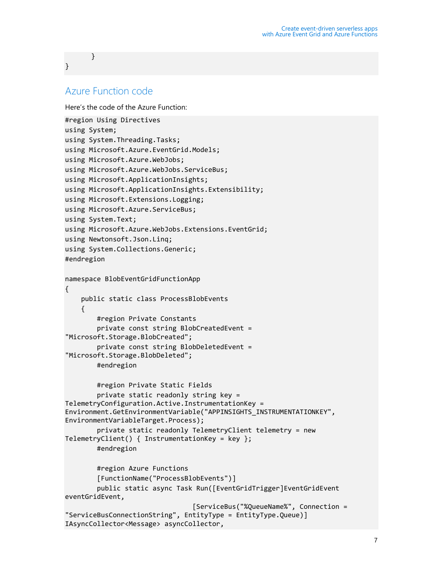}

}

#### <span id="page-6-0"></span>Azure Function code

Here's the code of the Azure Function:

```
#region Using Directives
using System;
using System.Threading.Tasks;
using Microsoft.Azure.EventGrid.Models;
using Microsoft.Azure.WebJobs;
using Microsoft.Azure.WebJobs.ServiceBus;
using Microsoft.ApplicationInsights;
using Microsoft.ApplicationInsights.Extensibility;
using Microsoft.Extensions.Logging;
using Microsoft.Azure.ServiceBus;
using System.Text;
using Microsoft.Azure.WebJobs.Extensions.EventGrid;
using Newtonsoft.Json.Linq;
using System.Collections.Generic;
#endregion
namespace BlobEventGridFunctionApp
{
     public static class ProcessBlobEvents
     {
         #region Private Constants
         private const string BlobCreatedEvent = 
"Microsoft.Storage.BlobCreated";
         private const string BlobDeletedEvent = 
"Microsoft.Storage.BlobDeleted";
         #endregion
         #region Private Static Fields
         private static readonly string key = 
TelemetryConfiguration.Active.InstrumentationKey = 
Environment.GetEnvironmentVariable("APPINSIGHTS_INSTRUMENTATIONKEY", 
EnvironmentVariableTarget.Process);
         private static readonly TelemetryClient telemetry = new 
TelemetryClient() { InstrumentationKey = key };
         #endregion
         #region Azure Functions
         [FunctionName("ProcessBlobEvents")]
         public static async Task Run([EventGridTrigger]EventGridEvent 
eventGridEvent,
                                  [ServiceBus("%QueueName%", Connection = 
"ServiceBusConnectionString", EntityType = EntityType.Queue)] 
IAsyncCollector<Message> asyncCollector,
```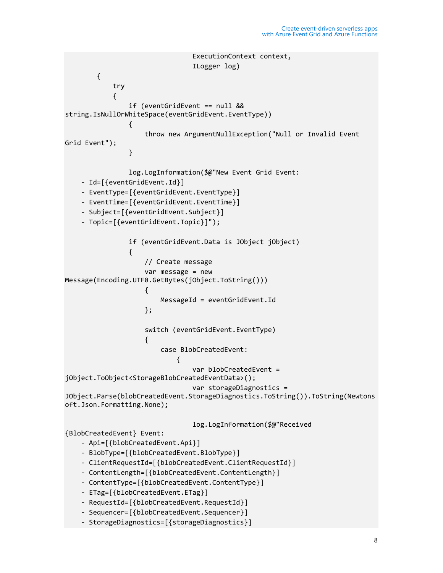```
 ExecutionContext context,
                              ILogger log)
        {
            try
\{ if (eventGridEvent == null && 
string.IsNullOrWhiteSpace(eventGridEvent.EventType))
\{ throw new ArgumentNullException("Null or Invalid Event 
Grid Event");
 }
                log.LogInformation($@"New Event Grid Event:
    - Id=[{eventGridEvent.Id}]
    - EventType=[{eventGridEvent.EventType}]
     - EventTime=[{eventGridEvent.EventTime}]
     - Subject=[{eventGridEvent.Subject}]
    - Topic=[{eventGridEvent.Topic}]");
                if (eventGridEvent.Data is JObject jObject)
\{ // Create message
                    var message = new 
Message(Encoding.UTF8.GetBytes(jObject.ToString()))
\{ MessageId = eventGridEvent.Id
\}; and \}; and \};
                    switch (eventGridEvent.EventType)
\{ case BlobCreatedEvent:
\{ var blobCreatedEvent = 
jObject.ToObject<StorageBlobCreatedEventData>();
                               var storageDiagnostics = 
JObject.Parse(blobCreatedEvent.StorageDiagnostics.ToString()).ToString(Newtons
oft.Json.Formatting.None);
                               log.LogInformation($@"Received 
{BlobCreatedEvent} Event: 
     - Api=[{blobCreatedEvent.Api}]
    - BlobType=[{blobCreatedEvent.BlobType}]
    - ClientRequestId=[{blobCreatedEvent.ClientRequestId}]
     - ContentLength=[{blobCreatedEvent.ContentLength}]
    - ContentType=[{blobCreatedEvent.ContentType}]
    - ETag=[{blobCreatedEvent.ETag}]
    - RequestId=[{blobCreatedEvent.RequestId}]
    - Sequencer=[{blobCreatedEvent.Sequencer}]
    - StorageDiagnostics=[{storageDiagnostics}]
```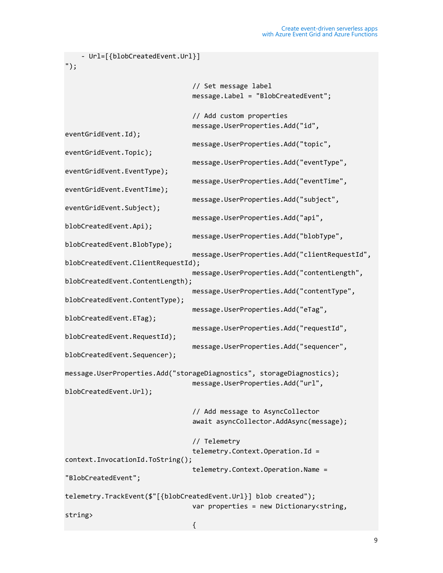```
 - Url=[{blobCreatedEvent.Url}]
");
                                 // Set message label
                                message.Label = "BlobCreatedEvent";
                                 // Add custom properties
                                message.UserProperties.Add("id", 
eventGridEvent.Id);
                                 message.UserProperties.Add("topic", 
eventGridEvent.Topic);
                                 message.UserProperties.Add("eventType", 
eventGridEvent.EventType);
                                 message.UserProperties.Add("eventTime", 
eventGridEvent.EventTime);
                                 message.UserProperties.Add("subject", 
eventGridEvent.Subject);
                                 message.UserProperties.Add("api", 
blobCreatedEvent.Api);
                                 message.UserProperties.Add("blobType", 
blobCreatedEvent.BlobType);
                                 message.UserProperties.Add("clientRequestId", 
blobCreatedEvent.ClientRequestId);
                                 message.UserProperties.Add("contentLength", 
blobCreatedEvent.ContentLength);
                                 message.UserProperties.Add("contentType", 
blobCreatedEvent.ContentType);
                                 message.UserProperties.Add("eTag", 
blobCreatedEvent.ETag);
                                 message.UserProperties.Add("requestId", 
blobCreatedEvent.RequestId);
                                 message.UserProperties.Add("sequencer", 
blobCreatedEvent.Sequencer);
message.UserProperties.Add("storageDiagnostics", storageDiagnostics);
                                 message.UserProperties.Add("url", 
blobCreatedEvent.Url);
                                 // Add message to AsyncCollector
                                await asyncCollector.AddAsync(message);
                                 // Telemetry
                                 telemetry.Context.Operation.Id = 
context.InvocationId.ToString();
                                 telemetry.Context.Operation.Name = 
"BlobCreatedEvent";
telemetry.TrackEvent($"[{blobCreatedEvent.Url}] blob created");
                                 var properties = new Dictionary<string, 
string>
\{
```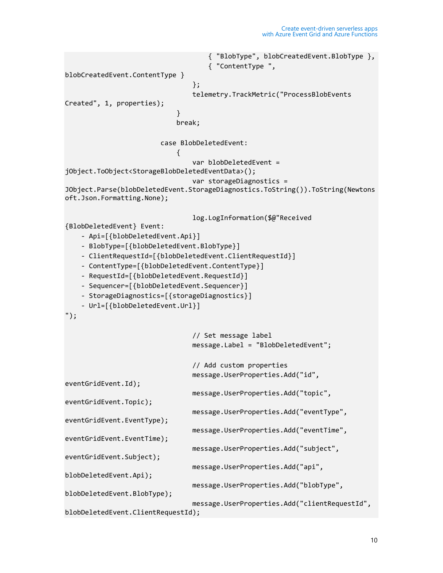```
 { "BlobType", blobCreatedEvent.BlobType },
                                   { "ContentType ", 
blobCreatedEvent.ContentType }
\};
                                telemetry.TrackMetric("ProcessBlobEvents 
Created", 1, properties);
 }
                            break;
                        case BlobDeletedEvent:
\{ var blobDeletedEvent = 
jObject.ToObject<StorageBlobDeletedEventData>();
                                var storageDiagnostics = 
JObject.Parse(blobDeletedEvent.StorageDiagnostics.ToString()).ToString(Newtons
oft.Json.Formatting.None);
                                log.LogInformation($@"Received 
{BlobDeletedEvent} Event: 
     - Api=[{blobDeletedEvent.Api}]
     - BlobType=[{blobDeletedEvent.BlobType}]
     - ClientRequestId=[{blobDeletedEvent.ClientRequestId}]
     - ContentType=[{blobDeletedEvent.ContentType}]
     - RequestId=[{blobDeletedEvent.RequestId}]
     - Sequencer=[{blobDeletedEvent.Sequencer}]
     - StorageDiagnostics=[{storageDiagnostics}]
     - Url=[{blobDeletedEvent.Url}]
");
                                // Set message label
                                message.Label = "BlobDeletedEvent";
                                // Add custom properties
                                message.UserProperties.Add("id", 
eventGridEvent.Id);
                                message.UserProperties.Add("topic", 
eventGridEvent.Topic);
                                message.UserProperties.Add("eventType", 
eventGridEvent.EventType);
                                message.UserProperties.Add("eventTime", 
eventGridEvent.EventTime);
                                message.UserProperties.Add("subject", 
eventGridEvent.Subject);
                                message.UserProperties.Add("api", 
blobDeletedEvent.Api);
                                message.UserProperties.Add("blobType", 
blobDeletedEvent.BlobType);
                                message.UserProperties.Add("clientRequestId", 
blobDeletedEvent.ClientRequestId);
```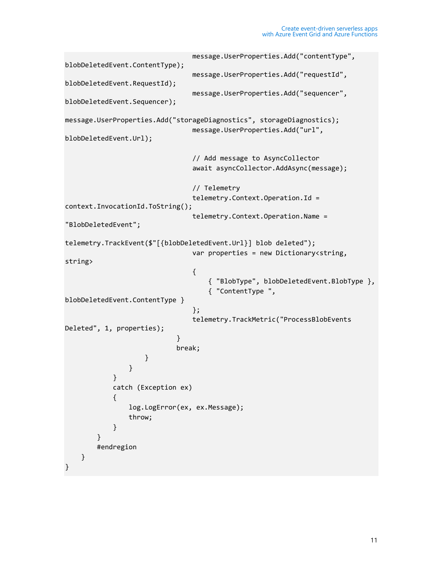```
 message.UserProperties.Add("contentType", 
blobDeletedEvent.ContentType);
                             message.UserProperties.Add("requestId", 
blobDeletedEvent.RequestId);
                             message.UserProperties.Add("sequencer", 
blobDeletedEvent.Sequencer);
message.UserProperties.Add("storageDiagnostics", storageDiagnostics);
                             message.UserProperties.Add("url", 
blobDeletedEvent.Url);
                             // Add message to AsyncCollector
                            await asyncCollector.AddAsync(message);
                             // Telemetry
                            telemetry.Context.Operation.Id = 
context.InvocationId.ToString();
                             telemetry.Context.Operation.Name = 
"BlobDeletedEvent";
telemetry.TrackEvent($"[{blobDeletedEvent.Url}] blob deleted");
                            var properties = new Dictionary<string,
string>
\{ { "BlobType", blobDeletedEvent.BlobType },
                                { "ContentType ", 
blobDeletedEvent.ContentType }
\};
                            telemetry.TrackMetric("ProcessBlobEvents 
Deleted", 1, properties);
 }
                          break;
}<br>}
 }
 }
           catch (Exception ex)
\{ log.LogError(ex, ex.Message);
               throw;
 }
        } 
        #endregion
    }
}
```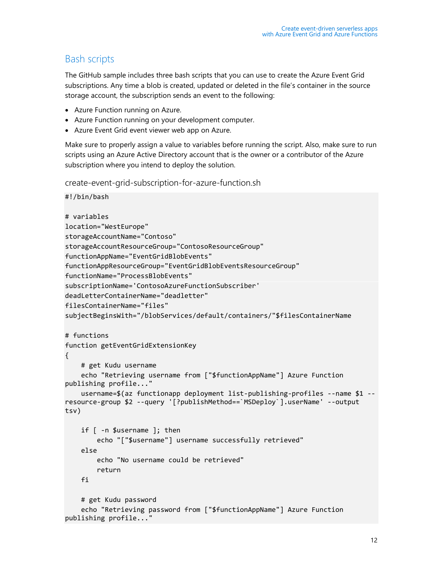#### <span id="page-11-0"></span>Bash scripts

The GitHub sample includes three bash scripts that you can use to create the Azure Event Grid subscriptions. Any time a blob is created, updated or deleted in the file's container in the source storage account, the subscription sends an event to the following:

- Azure Function running on Azure.
- Azure Function running on your development computer.
- Azure Event Grid event viewer web app on Azure.

Make sure to properly assign a value to variables before running the script. Also, make sure to run scripts using an Azure Active Directory account that is the owner or a contributor of the Azure subscription where you intend to deploy the solution.

create-event-grid-subscription-for-azure-function.sh

```
#!/bin/bash
# variables
location="WestEurope"
storageAccountName="Contoso"
storageAccountResourceGroup="ContosoResourceGroup"
functionAppName="EventGridBlobEvents"
functionAppResourceGroup="EventGridBlobEventsResourceGroup"
functionName="ProcessBlobEvents"
subscriptionName='ContosoAzureFunctionSubscriber'
deadLetterContainerName="deadletter"
filesContainerName="files"
subjectBeginsWith="/blobServices/default/containers/"$filesContainerName
# functions
function getEventGridExtensionKey
{
     # get Kudu username
     echo "Retrieving username from ["$functionAppName"] Azure Function 
publishing profile..."
     username=$(az functionapp deployment list-publishing-profiles --name $1 --
resource-group $2 --query '[?publishMethod==`MSDeploy`].userName' --output 
tsv)
     if [ -n $username ]; then
         echo "["$username"] username successfully retrieved"
     else
         echo "No username could be retrieved"
         return
     fi
     # get Kudu password
     echo "Retrieving password from ["$functionAppName"] Azure Function 
publishing profile..."
```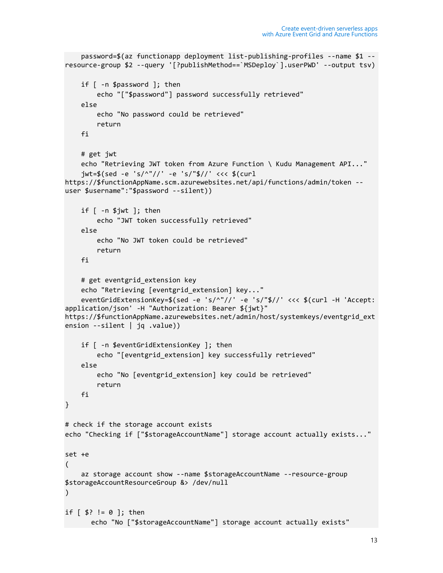```
 password=$(az functionapp deployment list-publishing-profiles --name $1 --
resource-group $2 --query '[?publishMethod==`MSDeploy`].userPWD' --output tsv)
     if [ -n $password ]; then
         echo "["$password"] password successfully retrieved"
     else
         echo "No password could be retrieved"
         return
     fi
     # get jwt
     echo "Retrieving JWT token from Azure Function \ Kudu Management API..."
     jwt=$(sed -e 's/^"//' -e 's/"$//' <<< $(curl 
https://$functionAppName.scm.azurewebsites.net/api/functions/admin/token --
user $username":"$password --silent))
    if [ -n 1/3jwt ]; then
         echo "JWT token successfully retrieved"
     else
         echo "No JWT token could be retrieved"
         return
     fi
    # get eventgrid extension key
     echo "Retrieving [eventgrid_extension] key..."
     eventGridExtensionKey=$(sed -e 's/^"//' -e 's/"$//' <<< $(curl -H 'Accept: 
application/json' -H "Authorization: Bearer ${jwt}" 
https://$functionAppName.azurewebsites.net/admin/host/systemkeys/eventgrid_ext
ension --silent | jq .value))
     if [ -n $eventGridExtensionKey ]; then
         echo "[eventgrid_extension] key successfully retrieved"
     else
         echo "No [eventgrid_extension] key could be retrieved"
         return
    fi
}
# check if the storage account exists
echo "Checking if ["$storageAccountName"] storage account actually exists..."
set +e
(
     az storage account show --name $storageAccountName --resource-group 
$storageAccountResourceGroup &> /dev/null
)
if [ $? != 0 ]; then
      echo "No ["$storageAccountName"] storage account actually exists"
```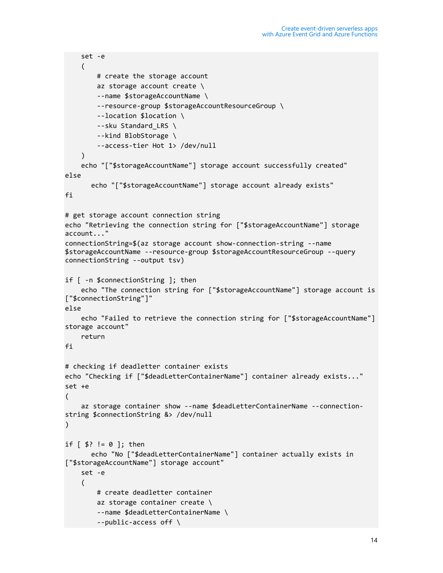```
 set -e
     (
         # create the storage account
         az storage account create \
         --name $storageAccountName \
         --resource-group $storageAccountResourceGroup \
         --location $location \
        --sku Standard LRS \
         --kind BlobStorage \
         --access-tier Hot 1> /dev/null
    \lambda echo "["$storageAccountName"] storage account successfully created"
else
      echo "["$storageAccountName"] storage account already exists"
fi
# get storage account connection string
echo "Retrieving the connection string for ["$storageAccountName"] storage 
account..."
connectionString=$(az storage account show-connection-string --name 
$storageAccountName --resource-group $storageAccountResourceGroup --query 
connectionString --output tsv)
if [ -n $connectionString ]; then
     echo "The connection string for ["$storageAccountName"] storage account is 
["$connectionString"]"
else
     echo "Failed to retrieve the connection string for ["$storageAccountName"] 
storage account"
     return
fi
# checking if deadletter container exists
echo "Checking if ["$deadLetterContainerName"] container already exists..."
set +e
(
     az storage container show --name $deadLetterContainerName --connection-
string $connectionString &> /dev/null
)
if [ $? != 0 ]; then
      echo "No ["$deadLetterContainerName"] container actually exists in 
["$storageAccountName"] storage account"
     set -e
     (
         # create deadletter container
         az storage container create \
         --name $deadLetterContainerName \
         --public-access off \
```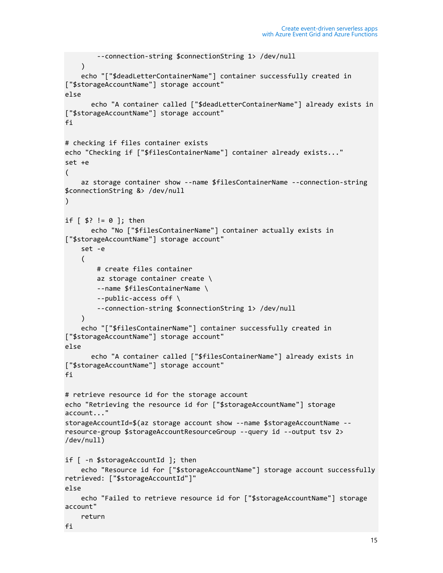```
 --connection-string $connectionString 1> /dev/null
    \mathcal{L} echo "["$deadLetterContainerName"] container successfully created in 
["$storageAccountName"] storage account"
else
      echo "A container called ["$deadLetterContainerName"] already exists in 
["$storageAccountName"] storage account"
fi
# checking if files container exists
echo "Checking if ["$filesContainerName"] container already exists..."
set +e
(
     az storage container show --name $filesContainerName --connection-string 
$connectionString &> /dev/null
)
if \lceil 1 \rceil : \lceil 2 \rceil : then
      echo "No ["$filesContainerName"] container actually exists in 
["$storageAccountName"] storage account"
     set -e
     (
         # create files container
         az storage container create \
         --name $filesContainerName \
         --public-access off \
         --connection-string $connectionString 1> /dev/null
    \mathcal{L} echo "["$filesContainerName"] container successfully created in 
["$storageAccountName"] storage account"
else
      echo "A container called ["$filesContainerName"] already exists in 
["$storageAccountName"] storage account"
fi
# retrieve resource id for the storage account
echo "Retrieving the resource id for ["$storageAccountName"] storage 
account..."
storageAccountId=$(az storage account show --name $storageAccountName --
resource-group $storageAccountResourceGroup --query id --output tsv 2> 
/dev/null)
if [ -n $storageAccountId ]; then
     echo "Resource id for ["$storageAccountName"] storage account successfully 
retrieved: ["$storageAccountId"]"
else
     echo "Failed to retrieve resource id for ["$storageAccountName"] storage 
account"
     return
fi
```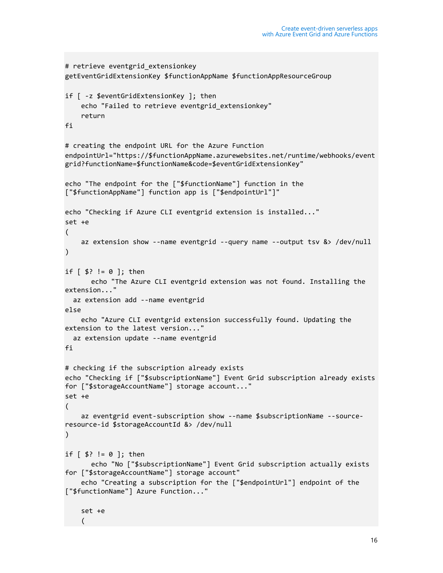```
# retrieve eventgrid_extensionkey
getEventGridExtensionKey $functionAppName $functionAppResourceGroup
if [ -z $eventGridExtensionKey ]; then
     echo "Failed to retrieve eventgrid_extensionkey"
     return
fi
# creating the endpoint URL for the Azure Function
endpointUrl="https://$functionAppName.azurewebsites.net/runtime/webhooks/event
grid?functionName=$functionName&code=$eventGridExtensionKey"
echo "The endpoint for the ["$functionName"] function in the 
["$functionAppName"] function app is ["$endpointUrl"]"
echo "Checking if Azure CLI eventgrid extension is installed..."
set +e
(
     az extension show --name eventgrid --query name --output tsv &> /dev/null
)
if [ $? != 0 ]; then
      echo "The Azure CLI eventgrid extension was not found. Installing the 
extension..."
   az extension add --name eventgrid
else
     echo "Azure CLI eventgrid extension successfully found. Updating the 
extension to the latest version..."
  az extension update --name eventgrid
fi
# checking if the subscription already exists
echo "Checking if ["$subscriptionName"] Event Grid subscription already exists 
for ["$storageAccountName"] storage account..."
set +e
(
     az eventgrid event-subscription show --name $subscriptionName --source-
resource-id $storageAccountId &> /dev/null
\lambdaif [ $? != 0 ]; then
      echo "No ["$subscriptionName"] Event Grid subscription actually exists 
for ["$storageAccountName"] storage account"
     echo "Creating a subscription for the ["$endpointUrl"] endpoint of the 
["$functionName"] Azure Function..."
     set +e
```
 $\overline{\phantom{a}}$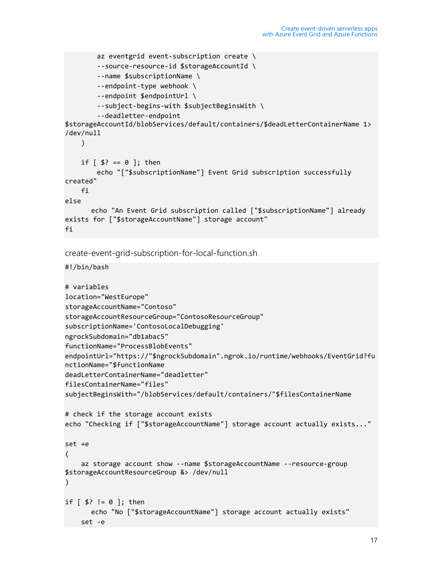```
az eventgrid event-subscription create \setminus --source-resource-id $storageAccountId \
         --name $subscriptionName \
         --endpoint-type webhook \
         --endpoint $endpointUrl \
         --subject-begins-with $subjectBeginsWith \
         --deadletter-endpoint 
$storageAccountId/blobServices/default/containers/$deadLetterContainerName 1> 
/dev/null
    \lambdaif [ $? == 0 ]; then
         echo "["$subscriptionName"] Event Grid subscription successfully 
created"
     fi
else
       echo "An Event Grid subscription called ["$subscriptionName"] already 
exists for ["$storageAccountName"] storage account"
fi
create-event-grid-subscription-for-local-function.sh
#!/bin/bash
# variables
location="WestEurope"
storageAccountName="Contoso"
storageAccountResourceGroup="ContosoResourceGroup"
subscriptionName='ContosoLocalDebugging'
ngrockSubdomain="db1abac5"
functionName="ProcessBlobEvents"
endpointUrl="https://"$ngrockSubdomain".ngrok.io/runtime/webhooks/EventGrid?fu
nctionName="$functionName
deadLetterContainerName="deadletter"
filesContainerName="files"
subjectBeginsWith="/blobServices/default/containers/"$filesContainerName
# check if the storage account exists
echo "Checking if ["$storageAccountName"] storage account actually exists..."
set +e
(
     az storage account show --name $storageAccountName --resource-group 
$storageAccountResourceGroup &> /dev/null
\lambdaif \lceil 1 \rceil \frac{1}{2} \lceil 1 \rceil \lceil 2 \rceil \lceil 1 \rceil \lceil 2 \rceilecho "No ["$storageAccountName"] storage account actually exists"
```
set -e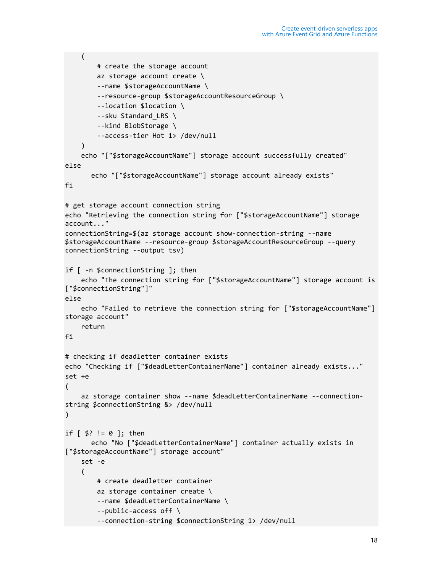```
 (
         # create the storage account
         az storage account create \
         --name $storageAccountName \
         --resource-group $storageAccountResourceGroup \
         --location $location \
         --sku Standard_LRS \
         --kind BlobStorage \
         --access-tier Hot 1> /dev/null
    \mathcal{L} echo "["$storageAccountName"] storage account successfully created"
else
      echo "["$storageAccountName"] storage account already exists"
fi
# get storage account connection string
echo "Retrieving the connection string for ["$storageAccountName"] storage 
account..."
connectionString=$(az storage account show-connection-string --name 
$storageAccountName --resource-group $storageAccountResourceGroup --query 
connectionString --output tsv)
if [ -n $connectionString ]; then
     echo "The connection string for ["$storageAccountName"] storage account is
["$connectionString"]"
else
     echo "Failed to retrieve the connection string for ["$storageAccountName"] 
storage account"
     return
fi
# checking if deadletter container exists
echo "Checking if ["$deadLetterContainerName"] container already exists..."
set +e
(
     az storage container show --name $deadLetterContainerName --connection-
string $connectionString &> /dev/null
)
if [ $? != 0 ]; then
      echo "No ["$deadLetterContainerName"] container actually exists in 
["$storageAccountName"] storage account"
     set -e
     (
         # create deadletter container
         az storage container create \
         --name $deadLetterContainerName \
         --public-access off \
         --connection-string $connectionString 1> /dev/null
```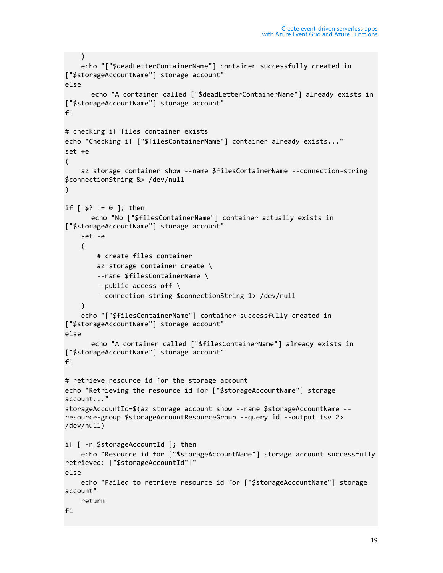```
 )
     echo "["$deadLetterContainerName"] container successfully created in 
["$storageAccountName"] storage account"
else
      echo "A container called ["$deadLetterContainerName"] already exists in 
["$storageAccountName"] storage account"
fi
# checking if files container exists
echo "Checking if ["$filesContainerName"] container already exists..."
set +e
(
     az storage container show --name $filesContainerName --connection-string 
$connectionString &> /dev/null
)
if \lceil 1 \rceil : = 0 ]; then
       echo "No ["$filesContainerName"] container actually exists in 
["$storageAccountName"] storage account"
     set -e
     (
         # create files container
         az storage container create \
         --name $filesContainerName \
         --public-access off \
         --connection-string $connectionString 1> /dev/null
    \mathcal{L} echo "["$filesContainerName"] container successfully created in 
["$storageAccountName"] storage account"
else
      echo "A container called ["$filesContainerName"] already exists in 
["$storageAccountName"] storage account"
fi
# retrieve resource id for the storage account
echo "Retrieving the resource id for ["$storageAccountName"] storage 
account..."
storageAccountId=$(az storage account show --name $storageAccountName --
resource-group $storageAccountResourceGroup --query id --output tsv 2> 
/dev/null)
if [ -n $storageAccountId ]; then
     echo "Resource id for ["$storageAccountName"] storage account successfully 
retrieved: ["$storageAccountId"]"
else
     echo "Failed to retrieve resource id for ["$storageAccountName"] storage 
account"
     return
fi
```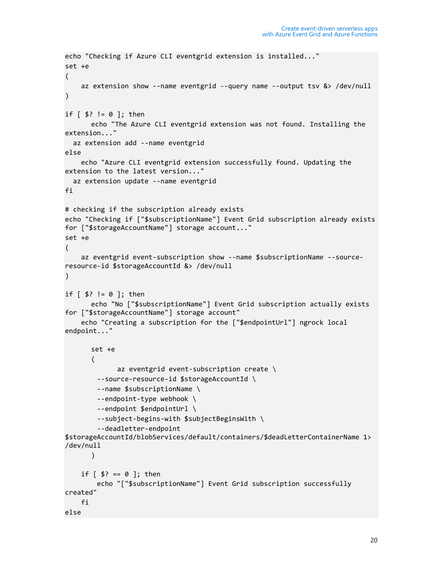```
echo "Checking if Azure CLI eventgrid extension is installed..."
set +e
(
     az extension show --name eventgrid --query name --output tsv &> /dev/null
)
if [ $? != 0 ]; then
      echo "The Azure CLI eventgrid extension was not found. Installing the 
extension..."
   az extension add --name eventgrid
else
     echo "Azure CLI eventgrid extension successfully found. Updating the 
extension to the latest version..."
   az extension update --name eventgrid
fi
# checking if the subscription already exists
echo "Checking if ["$subscriptionName"] Event Grid subscription already exists 
for ["$storageAccountName"] storage account..."
set +e
(
     az eventgrid event-subscription show --name $subscriptionName --source-
resource-id $storageAccountId &> /dev/null
\lambdaif [ $? != 0 ]; then
      echo "No ["$subscriptionName"] Event Grid subscription actually exists 
for ["$storageAccountName"] storage account"
     echo "Creating a subscription for the ["$endpointUrl"] ngrock local 
endpoint..."
      set +e
      \left(az eventgrid event-subscription create \setminus --source-resource-id $storageAccountId \
         --name $subscriptionName \
         --endpoint-type webhook \
         --endpoint $endpointUrl \
         --subject-begins-with $subjectBeginsWith \
         --deadletter-endpoint 
$storageAccountId/blobServices/default/containers/$deadLetterContainerName 1> 
/dev/null
      )
    if [ $? == 0 ]; then
         echo "["$subscriptionName"] Event Grid subscription successfully 
created"
     fi
else
```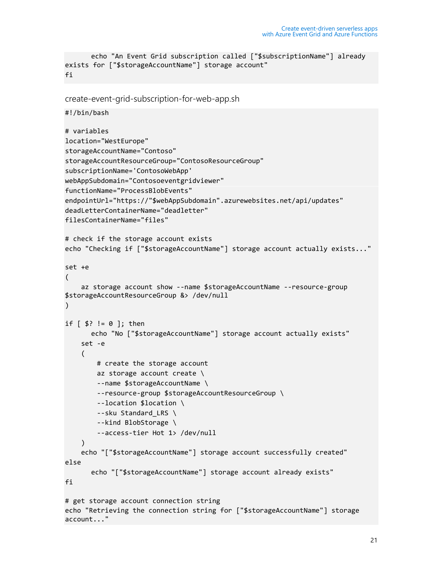```
echo "An Event Grid subscription called ["$subscriptionName"] already 
exists for ["$storageAccountName"] storage account"
fi
```

```
create-event-grid-subscription-for-web-app.sh
#!/bin/bash
# variables
location="WestEurope"
storageAccountName="Contoso"
storageAccountResourceGroup="ContosoResourceGroup"
subscriptionName='ContosoWebApp'
webAppSubdomain="Contosoeventgridviewer"
functionName="ProcessBlobEvents"
endpointUrl="https://"$webAppSubdomain".azurewebsites.net/api/updates"
deadLetterContainerName="deadletter"
filesContainerName="files"
# check if the storage account exists
echo "Checking if ["$storageAccountName"] storage account actually exists..."
set +e
(
     az storage account show --name $storageAccountName --resource-group 
$storageAccountResourceGroup &> /dev/null
)
if [ $? != 0 ]; then
      echo "No ["$storageAccountName"] storage account actually exists"
     set -e
     (
         # create the storage account
         az storage account create \
         --name $storageAccountName \
         --resource-group $storageAccountResourceGroup \
         --location $location \
        --sku Standard LRS \
         --kind BlobStorage \
         --access-tier Hot 1> /dev/null
     )
     echo "["$storageAccountName"] storage account successfully created"
else
      echo "["$storageAccountName"] storage account already exists"
fi
# get storage account connection string
echo "Retrieving the connection string for ["$storageAccountName"] storage 
account..."
```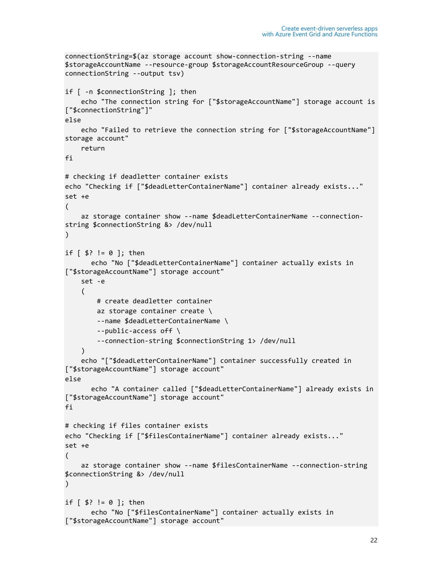```
connectionString=$(az storage account show-connection-string --name 
$storageAccountName --resource-group $storageAccountResourceGroup --query 
connectionString --output tsv)
if [ -n $connectionString ]; then
     echo "The connection string for ["$storageAccountName"] storage account is 
["$connectionString"]"
else
     echo "Failed to retrieve the connection string for ["$storageAccountName"] 
storage account"
     return
fi
# checking if deadletter container exists
echo "Checking if ["$deadLetterContainerName"] container already exists..."
set +e
(
     az storage container show --name $deadLetterContainerName --connection-
string $connectionString &> /dev/null
\lambdaif [ $? != 0 ]; then
      echo "No ["$deadLetterContainerName"] container actually exists in 
["$storageAccountName"] storage account"
     set -e
     (
         # create deadletter container
         az storage container create \
         --name $deadLetterContainerName \
         --public-access off \
         --connection-string $connectionString 1> /dev/null
    \lambda echo "["$deadLetterContainerName"] container successfully created in 
["$storageAccountName"] storage account"
else
      echo "A container called ["$deadLetterContainerName"] already exists in 
["$storageAccountName"] storage account"
fi
# checking if files container exists
echo "Checking if ["$filesContainerName"] container already exists..."
set +e
(
     az storage container show --name $filesContainerName --connection-string 
$connectionString &> /dev/null
\lambdaif [ $? != 0 ]; then
      echo "No ["$filesContainerName"] container actually exists in 
["$storageAccountName"] storage account"
```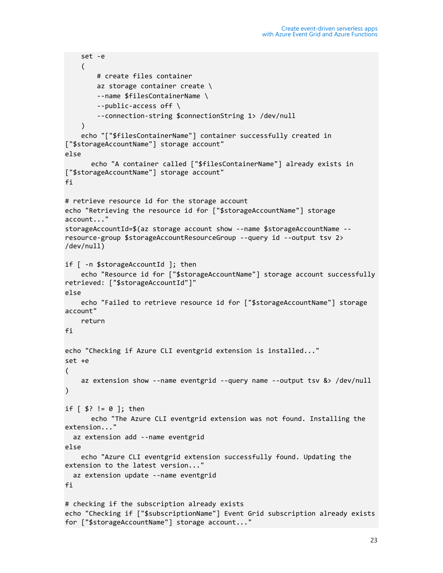```
 set -e
     (
         # create files container
         az storage container create \
         --name $filesContainerName \
         --public-access off \
         --connection-string $connectionString 1> /dev/null
     )
     echo "["$filesContainerName"] container successfully created in 
["$storageAccountName"] storage account"
else
      echo "A container called ["$filesContainerName"] already exists in 
["$storageAccountName"] storage account"
fi
# retrieve resource id for the storage account
echo "Retrieving the resource id for ["$storageAccountName"] storage 
account..."
storageAccountId=$(az storage account show --name $storageAccountName --
resource-group $storageAccountResourceGroup --query id --output tsv 2> 
/dev/null)
if [ -n $storageAccountId ]; then
     echo "Resource id for ["$storageAccountName"] storage account successfully 
retrieved: ["$storageAccountId"]"
else
     echo "Failed to retrieve resource id for ["$storageAccountName"] storage 
account"
     return
fi
echo "Checking if Azure CLI eventgrid extension is installed..."
set +e
(
     az extension show --name eventgrid --query name --output tsv &> /dev/null
)
if [ $? != 0 ]; then
      echo "The Azure CLI eventgrid extension was not found. Installing the 
extension..."
   az extension add --name eventgrid
else
     echo "Azure CLI eventgrid extension successfully found. Updating the 
extension to the latest version..."
  az extension update --name eventgrid
fi
# checking if the subscription already exists
echo "Checking if ["$subscriptionName"] Event Grid subscription already exists 
for ["$storageAccountName"] storage account..."
```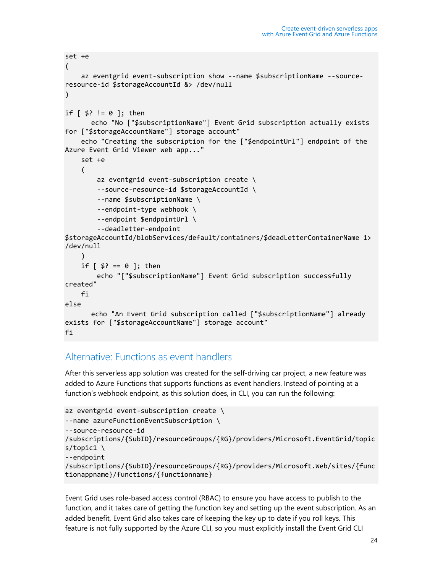```
set +e
(
     az eventgrid event-subscription show --name $subscriptionName --source-
resource-id $storageAccountId &> /dev/null
)
if [ $? != 0 ]; then
       echo "No ["$subscriptionName"] Event Grid subscription actually exists 
for ["$storageAccountName"] storage account"
     echo "Creating the subscription for the ["$endpointUrl"] endpoint of the 
Azure Event Grid Viewer web app..."
     set +e
     (
        az eventgrid event-subscription create \setminus --source-resource-id $storageAccountId \
         --name $subscriptionName \
         --endpoint-type webhook \
         --endpoint $endpointUrl \
         --deadletter-endpoint 
$storageAccountId/blobServices/default/containers/$deadLetterContainerName 1> 
/dev/null
     )
    if [ $? == 0 ]; then
         echo "["$subscriptionName"] Event Grid subscription successfully 
created"
     fi
else
      echo "An Event Grid subscription called ["$subscriptionName"] already 
exists for ["$storageAccountName"] storage account"
fi
```
#### <span id="page-23-0"></span>Alternative: Functions as event handlers

After this serverless app solution was created for the self-driving car project, a new feature was added to Azure Functions that supports functions as event handlers. Instead of pointing at a function's webhook endpoint, as this solution does, in CLI, you can run the following:

```
az eventgrid event-subscription create \setminus--name azureFunctionEventSubscription \
--source-resource-id 
/subscriptions/{SubID}/resourceGroups/{RG}/providers/Microsoft.EventGrid/topic
s/topic1 \
--endpoint 
/subscriptions/{SubID}/resourceGroups/{RG}/providers/Microsoft.Web/sites/{func
tionappname}/functions/{functionname}
```
Event Grid uses role-based access control (RBAC) to ensure you have access to publish to the function, and it takes care of getting the function key and setting up the event subscription. As an added benefit, Event Grid also takes care of keeping the key up to date if you roll keys. This feature is not fully supported by the Azure CLI, so you must explicitly install the Event Grid CLI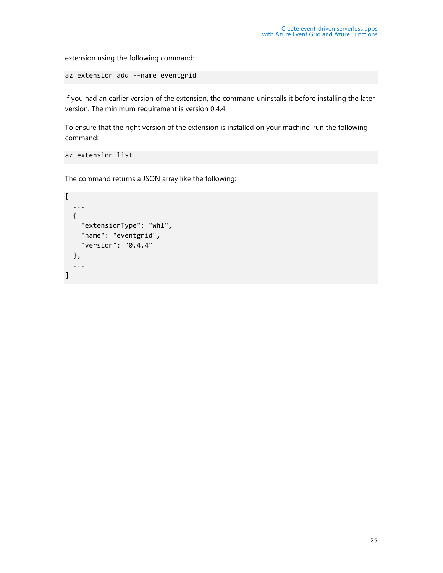extension using the following command:

az extension add --name eventgrid

If you had an earlier version of the extension, the command uninstalls it before installing the later version. The minimum requirement is version 0.4.4.

To ensure that the right version of the extension is installed on your machine, run the following command:

```
az extension list
```
The command returns a JSON array like the following:

```
\overline{[} ...
   {
      "extensionType": "whl",
      "name": "eventgrid",
      "version": "0.4.4"
   },
   ...
]
```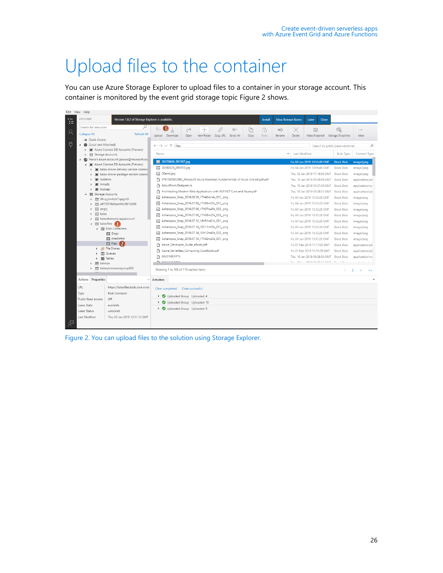### <span id="page-25-0"></span>Upload files to the container

You can use Azure Storage Explorer to upload files to a container in your storage account. This container is monitored by the event grid storage topic Figure 2 shows.

|         | Edit View Help                                                                                                                                                                                              |                                                                                                                                                                                                                                                                                                                                                                                                                                                                                                       |                                                                                                                            |                                                                                                                                      |
|---------|-------------------------------------------------------------------------------------------------------------------------------------------------------------------------------------------------------------|-------------------------------------------------------------------------------------------------------------------------------------------------------------------------------------------------------------------------------------------------------------------------------------------------------------------------------------------------------------------------------------------------------------------------------------------------------------------------------------------------------|----------------------------------------------------------------------------------------------------------------------------|--------------------------------------------------------------------------------------------------------------------------------------|
| --<br>Æ | <b>EXPLORER</b><br>Version 1.6.2 of Storage Explorer is available.                                                                                                                                          | <b>View Release Notes</b><br>Close<br>Install<br>Later                                                                                                                                                                                                                                                                                                                                                                                                                                                |                                                                                                                            |                                                                                                                                      |
| $\beta$ | Q<br>Search for resources<br><b>Collapse All</b><br><b>Refresh All</b>                                                                                                                                      | $\bullet$<br>不.<br>$\downarrow$<br>ĥ<br>回。<br>ħ<br>$\rightarrow$<br>,0<br>ΞĎ<br>ि<br>$^+$<br>×<br>Upload Download<br>New Folder<br>Make Snapshot<br>Open<br>Copy URL Select All<br>Copy<br>Paste<br>Rename<br>Delete                                                                                                                                                                                                                                                                                  | Q<br>Manage Snapshots                                                                                                      | $\cdots$<br>More                                                                                                                     |
| Ö       | Ext- Quick Access<br>4 (Local and Attached)<br>> * * Azure Cosmos DB Accounts (Preview)                                                                                                                     | $\leftarrow$ $\rightarrow$ $\vee$ $\uparrow$ files<br>Last Modified<br>$\hat{\phantom{a}}$<br>Name                                                                                                                                                                                                                                                                                                                                                                                                    | Search by prefix (case-sensitive)<br><b>Blob Type</b>                                                                      | Q<br>Content Type                                                                                                                    |
|         | 目 Storage Accounts<br>Paolo's Azure Account (paolos@microsoft.com<br>A 20 Azure Cosmos DB Accounts (Preview)<br>babo-drone-delivery-service-cosmos<br>babo-drone-package-service-cosmo<br>totdemo<br>inksdb | 20170608_093507.jpg<br>Fri, 04 Jan 2019 10:55:49 GMT<br>风 20180329_093655.jpg<br>Fri. 04 Jan 2019 10:55:49 GMT<br>20anni.jpg<br>Thu. 03 Jan 2019 17:18:48 GMT<br>9781509302963_Microsoft Azure Essentials Fundamentals of Azure 2nd ed pdf.pdf<br>Thu. 10 Jan 2019 09:28:56 GMT                                                                                                                                                                                                                       | <b>Block Blob</b><br><b>Block Blob</b><br><b>Block Blob</b><br><b>Block Blob</b>                                           | image/jpeg<br>image/jpeg<br>image/jpeg<br>application/pd                                                                             |
|         | todoapi<br>Storage Accounts<br>目 00vzyjkw4yts7igagnt0<br>目 a6f73918efaae44cc9b7a588<br>目 angry<br>目 babo                                                                                                    | AboutForm.Designer.cs<br>Thu. 10 Jan 2019 14:37:59 GMT<br>Architecting Modern Web Applications with ASP.NET Core and Azure.pdf<br>Thu, 10 Jan 2019 09:28:55 GMT<br>Ashampoo_Snap_2016.06.29_17h40m14s_001_.png<br>Fri, 04 Jan 2019 15:12:28 GMT<br>Ashampoo_Snap_2016.07.06_17h06m59s_001_.png<br>Fri. 04 Jan 2019 15:12:28 GMT<br>png Ashampoo Snap 2016.07.06 17h07m45s 002 .png<br>Fri. 04 Jan 2019 15:12:28 GMT<br>风 Ashampoo_Snap_2016.07.06_17h08m20s_003_.png<br>Fri. 04 Jan 2019 15:12:28 GMT | <b>Block Blob</b><br><b>Block Blob</b><br><b>Block Blob</b><br><b>Block Blob</b><br><b>Block Blob</b><br><b>Block Blob</b> | application/oc<br>application/pd<br>image/png<br>image/png<br>image/png<br>image/png                                                 |
|         | 目 babodronestorageaccount<br>$\mathbf{B}$ babofiles $\mathbf{G}$<br>$\overline{a}$<br>▲ 图 Blob Containers<br>同 Slogs<br>同 deadletter<br>同 files 2                                                           | 风 Ashampoo_Snap_2016.07.12_16h51m01s_001_.pnq<br>Fri. 04 Jan 2019 15:12:28 GMT<br>Ashampoo_Snap_2016.07.14_10h11m58s_001_.png<br>Fri, 04 Jan 2019 15:12:28 GMT<br>Ashampoo_Snap_2016.07.14_10h12m40s_002_.png<br>Fri. 04 Jan 2019 15:12:28 GMT<br>Ashampoo_Snap_2016.07.14_17h42m24s_001_.png<br>Fri. 04 Jan 2019 15:12:28 GMT                                                                                                                                                                        | <b>Block Blob</b><br><b>Block Blob</b><br><b>Block Blob</b><br><b>Block Blob</b>                                           | image/png<br>image/png<br>image/png<br>image/png                                                                                     |
|         | <b>A</b> File Shares<br><b>ITTI</b> Queues<br>田 Tables<br>目 babops<br>目 babopsresourcegroup902                                                                                                              | Azure_Developer_Guide_eBook.pdf<br>Fri. 01 Feb 2019 11:17:03 GMT<br>Azure_Serverless_Computing_Cookbook.pdf<br>Fri. 01 Feb 2019 11:16:59 GMT<br>P BRK3189.PPTX<br>Thu, 10 Jan 2019 09:28:58 GMT<br>B BRIGGET BATY<br>TI 461 SAMARASSES ALIT BL LBL L<br>Showing 1 to 100 of 110 cached items                                                                                                                                                                                                          | <b>Block Blob</b><br>Block Blob<br><b>Block Blob</b><br>$\mathbb{1}$                                                       | application/pd<br>application/pd<br>application/vn<br>$\mathbb{R}^n$ .<br>$\sim$<br>$\overline{2}$<br>$\rightarrow$<br>$\rightarrow$ |
|         | Actions Properties<br>URL<br>https://babofiles.blob.core.wind-<br>Type<br><b>Blob Container</b><br>Public Read Access<br>Off                                                                                | Activities<br>Clear completed<br>Clear successful<br>De Uploaded Group Uploaded: 4                                                                                                                                                                                                                                                                                                                                                                                                                    |                                                                                                                            |                                                                                                                                      |
| ਕ੍ਰਾ    | Lease State<br>available<br>Lease Status<br>unlocked<br>Last Modified<br>Thu. 03 Jan 2019 12:11:13 GMT                                                                                                      | Uploaded Group Uploaded: 10<br>Þ<br>De Uploaded Group Uploaded: 9                                                                                                                                                                                                                                                                                                                                                                                                                                     |                                                                                                                            |                                                                                                                                      |

<span id="page-25-1"></span>Figure 2. You can upload files to the solution using Storage Explorer.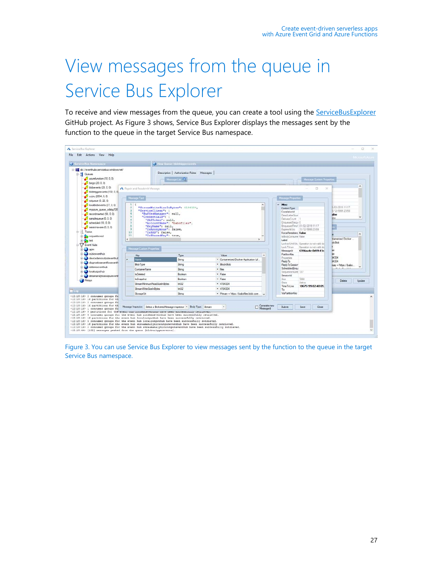# <span id="page-26-0"></span>View messages from the queue in Service Bus Explorer

To receive and view messages from the queue, you can create a tool using the **ServiceBusExplorer** GitHub project. As Figure 3 shows, Service Bus Explorer displays the messages sent by the function to the queue in the target Service Bus namespace.

| Service Bus Namespace<br>B-E sb://eventhubs.servicebus.windows.net/                                                                                                                                                                                                                                      |                                  |                                                                           | View Queue: blobbiggerevents               |                                         |                     |                                                  |                                                                        |                                  |                          |  |
|----------------------------------------------------------------------------------------------------------------------------------------------------------------------------------------------------------------------------------------------------------------------------------------------------------|----------------------------------|---------------------------------------------------------------------------|--------------------------------------------|-----------------------------------------|---------------------|--------------------------------------------------|------------------------------------------------------------------------|----------------------------------|--------------------------|--|
| G-E Queues                                                                                                                                                                                                                                                                                               |                                  |                                                                           | Description   Authorization Rules Messages |                                         |                     |                                                  |                                                                        |                                  |                          |  |
| azurefunction (18.0.0)                                                                                                                                                                                                                                                                                   |                                  |                                                                           | Message List                               |                                         |                     |                                                  | Message System Properties                                              |                                  |                          |  |
| bingo (20, 0, 0)                                                                                                                                                                                                                                                                                         |                                  |                                                                           |                                            |                                         |                     |                                                  |                                                                        |                                  |                          |  |
| blobeverts $(23, 0, 0)$                                                                                                                                                                                                                                                                                  |                                  | A Repair and Resubmit Message                                             |                                            |                                         |                     |                                                  | $\Box$<br>$\times$                                                     |                                  | $\mathcal{A}_\mathbf{r}$ |  |
| blobbiggerevents (132, 0, 0)                                                                                                                                                                                                                                                                             |                                  |                                                                           |                                            |                                         |                     |                                                  |                                                                        |                                  |                          |  |
| cubic (2654, 0, 0)                                                                                                                                                                                                                                                                                       |                                  | Message Text                                                              |                                            |                                         |                     | Message Properties                               |                                                                        |                                  |                          |  |
| lotqueue (0, 22, 0)                                                                                                                                                                                                                                                                                      |                                  |                                                                           |                                            |                                         |                     |                                                  |                                                                        |                                  |                          |  |
| locabiobeverits (27, 0, 0)                                                                                                                                                                                                                                                                               | 1                                |                                                                           |                                            |                                         |                     | $~\vee~$ Misc                                    |                                                                        |                                  |                          |  |
| myazure queue cdsbg108                                                                                                                                                                                                                                                                                   | 2<br>$\mathbf{3}$                | "ServiceClient":                                                          | "StreamWriteSizeInBytes": 4194304,         |                                         |                     |                                                  |                                                                        | /02/2019 11:17<br>/12/9999 23:59 |                          |  |
| recordinaerted (98, 0, 0)                                                                                                                                                                                                                                                                                | ł.                               | "BufferManager": null,                                                    |                                            |                                         |                     | ComulationId<br>DeadLetterSour                   |                                                                        | alse                             |                          |  |
| <b>S</b><br>"Credentials": {<br>samplequeue (0, 0, 0)<br>6<br>"SASToken": null.                                                                                                                                                                                                                          |                                  |                                                                           |                                            |                                         |                     | DeliveryCount                                    | <b>Mary</b>                                                            |                                  |                          |  |
| $\triangleq$ scheduled (10, 0, 0)                                                                                                                                                                                                                                                                        | э<br>"AccountName": "babofiles", |                                                                           |                                            |                                         |                     | EnaueuedSeau 0<br>EnquauedTime! 01/02/2019 11:17 |                                                                        |                                  |                          |  |
| $\ddot{\circ}$<br>"KeyName": null,<br>sessionaware (0, 0, 0)<br>$\circ$<br>"IsAnonymous": false,                                                                                                                                                                                                         |                                  |                                                                           |                                            |                                         |                     | FyninssAtLite 31/12/9999 23:59                   | ×,                                                                     |                                  |                          |  |
| E- Topics<br>10<br>"IsSAS": false.<br>11                                                                                                                                                                                                                                                                 |                                  |                                                                           |                                            |                                         |                     | ForcePenistenc False                             |                                                                        |                                  | $\sim$                   |  |
| ndpartitioned                                                                                                                                                                                                                                                                                            | "IsSharedKey": true,             |                                                                           |                                            |                                         | IsBodyConsume False |                                                  | <b>Itainertzed Docker</b> .                                            |                                  |                          |  |
| <b>Sea test</b>                                                                                                                                                                                                                                                                                          | $\epsilon$                       |                                                                           | Label                                      |                                         |                     |                                                  |                                                                        | ck filob                         |                          |  |
| <b>Cy Event Hubs</b>                                                                                                                                                                                                                                                                                     |                                  |                                                                           |                                            |                                         |                     | LockToken                                        | LockedUntilUtc Operation is not valid du<br>Operation is not valid dul |                                  |                          |  |
| <b>B</b> -C apim                                                                                                                                                                                                                                                                                         |                                  | Message Custom Properties                                                 |                                            |                                         |                     | Messageld                                        | 6354aa4c-0d59-41c                                                      |                                  |                          |  |
| abiceverthub                                                                                                                                                                                                                                                                                             |                                  | Key                                                                       | Type                                       | Value                                   | $\sim$              | PartitionKey                                     |                                                                        | 34304                            |                          |  |
| devicedemocutouteventhub                                                                                                                                                                                                                                                                                 |                                  | Name                                                                      | String                                     | · Containerized Docker Application Lf   |                     | Properties<br>ReplyTo                            |                                                                        | 34304                            |                          |  |
| dagnosticseventfloweventh<br>didemoeverthub<br><b>D</b> localoutputhub<br>dreamanalyticsoutputevent                                                                                                                                                                                                      |                                  | Blob Type                                                                 | String                                     | · Block Blob                            |                     | ReplyToSession                                   |                                                                        | nay = https://babo               |                          |  |
|                                                                                                                                                                                                                                                                                                          |                                  | ContainerName                                                             | String                                     | $-$ files                               |                     | ScheduledEnau                                    |                                                                        | $-18$ $-19$ $-11$ $-1$           |                          |  |
|                                                                                                                                                                                                                                                                                                          |                                  | InDeleted                                                                 | Boolean                                    | $-$ False                               |                     | Sequence Nunt: 137<br>SessionId                  |                                                                        |                                  |                          |  |
| <b>Belays</b>                                                                                                                                                                                                                                                                                            |                                  | Is Snapshot                                                               | Boolean                                    | $-$ False                               |                     | $S_{200}$                                        | 7268                                                                   |                                  |                          |  |
|                                                                                                                                                                                                                                                                                                          |                                  | StreamMinimumReadSizeInBvtes                                              | hr22                                       | $-4194304$                              |                     | Osta                                             | Active                                                                 | Delete                           | Update                   |  |
| <b>EL</b> Log                                                                                                                                                                                                                                                                                            |                                  | StreamWriteSizeInBites                                                    | let32                                      | $+ 4194304$                             |                     | Time To Live<br>To                               | 10675199.02:48:05.                                                     |                                  |                          |  |
|                                                                                                                                                                                                                                                                                                          |                                  |                                                                           |                                            |                                         |                     |                                                  |                                                                        |                                  |                          |  |
|                                                                                                                                                                                                                                                                                                          |                                  | Storage Lin                                                               | String                                     | · Primary - https://babofiles.blob.core |                     | ViaPatttionKey                                   |                                                                        |                                  |                          |  |
| <12:18:16> 2 consumer groups fo<br><12:10:16> 16 partitions for th                                                                                                                                                                                                                                       |                                  | Message Inspector: Select a BrokeredMessage inspector . Body Type: Stream |                                            | $\sim$                                  | Generate new        | Submit                                           | Save<br>Close                                                          |                                  |                          |  |
|                                                                                                                                                                                                                                                                                                          |                                  |                                                                           |                                            |                                         |                     |                                                  |                                                                        |                                  |                          |  |
| <12:10:16> 2 consumer groups fo<br><12:10:16> 16 partitions for th<br><12:10:14> 1 consumer groups fo<br><12:10:16> 0 partitions for the event num accommonwealong neve seen successionry recrieved.<br><12:18:16> 5 consumer groups for the event hub iotdemoeventhub have been successfully retrieved. |                                  |                                                                           |                                            |                                         |                     |                                                  |                                                                        |                                  |                          |  |

<span id="page-26-1"></span>Figure 3. You can use Service Bus Explorer to view messages sent by the function to the queue in the target Service Bus namespace.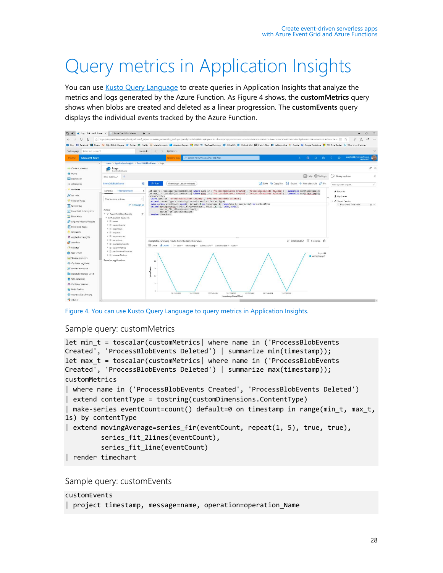## <span id="page-27-0"></span>Query metrics in Application Insights

You can use [Kusto Query Language](https://kusto.azurewebsites.net/docs/) to create queries in Application Insights that analyze the metrics and logs generated by the Azure Function. As Figure 4 shows, the **customMetrics** query shows when blobs are created and deleted as a linear progression. The **customEvents** query displays the individual events tracked by the Azure Function.



Figure 4. You can use Kusto Query Language to query metrics in Application Insights.

#### <span id="page-27-1"></span>Sample query: customMetrics

```
let min_t = toscalar(customMetrics| where name in ('ProcessBlobEvents 
Created', 'ProcessBlobEvents Deleted') | summarize min(timestamp));
let max_t = toscalar(customMetrics| where name in ('ProcessBlobEvents 
Created', 'ProcessBlobEvents Deleted') | summarize max(timestamp));
customMetrics
| where name in ('ProcessBlobEvents Created', 'ProcessBlobEvents Deleted')
| extend contentType = tostring(customDimensions.ContentType)
| make-series eventCount=count() default=0 on timestamp in range(min_t, max_t, 
1s) by contentType
| extend movingAverage=series fir(eventCount, repeat(1, 5), true, true),
         series fit 2lines(eventCount),
          series_fit_line(eventCount)
| render timechart
```
Sample query: customEvents

```
customEvents
| project timestamp, message=name, operation=operation_Name
```